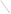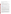### **AGENCY:** ENVIRONMENTAL PROTECTION AGENCY (EPA)

### **TITLE:** COMMUNITY ACTION FOR A RENEWED ENVIRONMENT (CARE) PROGRAM

**ACTION:** Request for Initial Proposals (RFIP) - Initial Announcement

#### **RFIP NO.: OAR-IO-05-08**

#### **CATALOG OF FEDERAL DOMESTIC ASSISTANCE (CFDA) NO: 66.035**

**DATES:** The closing date and time for receipt of initial proposals is May 20, 2005, 4:00 p.m. EST. All applications submitted must be either be postmarked or received in the Program Office by the closing date and time. No late proposals will be accepted

Final applications will be requested only from those eligible entities whose initial proposals have been tentatively selected for award. EPA will notify selected applicants not later than June 17, 2005.

Questions regarding this solicitation must be submitted in writing to the following url site: [www.epa.gov/CARE.](http://www.epa.gov/CARE) All questions must be received no later than 14 calendar days prior to the closing of this announcement. Answers to questions received will be posted at the same location as this announcement.

EPA reserves the right to amend this solicitation as deemed necessary. Amendments could be administrative in nature (e.g. change of dates or location), technical (change in requirement) or, changes which affect the anticipated funding. If this need occurs, EPA will post the amended solicitation at the same location as this announcement.

**SUMMARY:** This notice announces the availability of funds and solicits proposals for financial assistance to eligible entities through the new CARE program. CARE is a new and unique community-based, community driven, multimedia demonstration program designed to help communities understand and reduce risks due to toxics from all sources. The CARE program will empower communities to form collaborative partnerships, develop a comprehensive understanding of all sources of risk from toxics, set priorities, and identify and implement projects to reduce risks through collaborative action at the local level. CARE's long term goal is to help communities build self-sustaining, community-based partnerships that will continue to improve local environments into the future.

Two types of agreements will be awarded under this solicitation as part of the CARE program. The objective of these grant programs is to investigate whether this new cross-Agency, multimedia program provides greater environmental benefits than either non collaborative or single media approaches. Level I cooperative agreements will support the following types of activities: forming community-based collaborative partnerships; developing a comprehensive understanding of toxic risks; and, setting community risk reduction priorities. Level II agreements will fund activities to identify and demonstrate actual risk reduction projects on-theground in their community.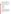**FUNDING/AWARDS:** The total estimated funding expected for all awards under this solicitation is \$1.65 million for FY 2005. EPA anticipates awarding six Level I cooperative agreements ranging in expected value from 60,000 to \$90,000 with most Level I agreements being funded at the level of about \$75,000. EPA also anticipates awarding four Level II cooperative agreements ranging in expected value from \$150,000 to \$325,000. Most Level II awards will be funded at about \$275,000. The estimated project period for awards resulting from this solicitation is two years. Applicants are not required to have been a recipient of a Level I agreement in order to receive a Level II agreement.

The CARE program is very competitive. Limited funding is available and EPA expects to receive many applications. EPA reserves the right to increase or decrease (including to zero) the total number of awards or, change the ratio of Level I to Level II cooperative agreements it awards. Such change may be necessary as a response to the quality of applications EPA receives, the size of the awards to the selected applicants, or for other reasons.

#### **CONTENTS BY SECTION**

- I. Funding Opportunity Description
- II. Award Information
- III. Eligibility Information
- IV. Application and Submission Information
- V. Application Review Information
- VI. Award Administration Information
- VII. Agency Contacts
- VIII. Other Information

### **I. Funding Opportunity Description**

### **A. Background.**

The CARE program was developed in response to community requests for help in addressing toxic concerns and in recognition of the need for new approaches to help communities address toxic concerns. While national regulatory approaches have resulted in significant reductions in toxic releases, they have not always been effective in addressing specific community concerns and cumulative risks resulting from toxic releases from multiple and often diffuse sources. CARE is designed to complement national regulatory approaches and meet community needs by building the capacity of communities to understand and take effective actions to address toxic concerns resulting at the local level. Through CARE, organizations will build community capacity to understand and reduce risks by providing funding, information, training, technical support, help building collaborative partnerships, and by improving access to voluntary programs to address community concerns.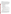#### **B. EPA Strategic Plan Linkage**. EPA Strategic Plan Linkage and Anticipated Outcomes/Outputs.

1. Linkage to EPA Strategic Plan. The CARE Programs directly supports progress towards EPA Strategic Plan Goal 4 Healthy Communities and Ecosystems, Objective 4.2 (Communities Sustain, Clean Up, and Restore Communities and the Ecological Systems That Support Them), and sub-objectives 4.2.1 (Sustain Community Health) and 4.2.2 (Restore Community Health); and Objective 4.3 (Ecosystems), Sub-objective 4.3.1 (Protect and Restore Ecosystems). In the CARE program, communities will select and implement EPA voluntary program(s) to reduce toxic exposures and protect the environment in their communities. While the voluntary programs and other actions taken will differ from community to community, overall, the actions taken by communities through the CARE program will support a number of the other goals, objectives and sub-objectives in the EPA Strategic Plan, including, but not limited to: Goal 1 Clean Air and Global Climate Change:

Objective 1.1 (Healthier Outdoor Air)

Sub-Objective 1.1.2 (Reduced Risk from Toxic Air Pollutants)

Objective 1.2 (Healthier Indoor Air).

Goal 2 Clean and Safe Water

Objective 2.1 (Protect Human Health)

Sub-objective 2.1.1 (Water Safe To Drink)

Objective 2.2: Protect Water Quality

Sub-objective 2.2.1: Improve Water Quality on a Watershed Basis.

Goal 3 Land Preservation and Restoration

Objective 3.1 (Preserve Land)

Sub-objective 3.1.1 (Reduce Waste Generation and Increase Recycling)

Goal 5 Compliance and Environmental Stewardship

Objective 5.2: Improve Environmental Performance Through Pollution Prevention And Innovation,

Sub-objective 5.2.1 (Prevent Pollution and Promote Environmental Stewardship by Government and the Public)

Sub-objective 5.2.2 (Prevent Pollution and Promote Environmental Stewardship by Business)

Sub-objective 5.2.3 (Business and Community Innovation)

2. Outcomes. Through these agreements EPA hopes to work with communities so they can: reduce risks from exposure to toxic pollutants through collaborative action at the local level.

develop a comprehensive understanding of all sources of risk from toxics and set priorities for effective action.

create self-sustaining community-based partnerships that will continue to improve local environments.

3. Outputs. The anticipated output for the CARE projects will vary from community to community. The main output for a community with a CARE Level I Agreement will be the creation of a broad based community stakeholder group that has developed an understanding of the toxic risks in their community and determined the priority risk. The main outputs for a community with a CARE Level II Agreement will come from the implementation of the selected voluntary programs. The specific outputs will vary but the communities will be expected to achieve the specific outputs of the programs they select.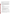Through CARE, communities will demonstrate whether this new multi-media program succeeds in bringing communities together to investigate their toxics problems and educate the citizens about those risks, take effective action to improve the environment and build self-sustaining organizations that will continue to improve the environment after the CARE cooperative agreements have expired.

This investigation will be conducted for both Level I and Level II agreements. Therefore, in order to receive a cooperative agreement under the CARE program, the applicant must develop performance measures to be achieved through the activities proposed and funded. The performance measures should focus on solid, qualitative actions related to the applicant's activities, outputs and outcomes. These performance measures will help EPA gather insights concerning successful process and outcome strategies and provide the basis for developing lessons to inform future CARE projects. Wherever possible for Level I agreements, and in all Level II agreements, measurable environmental outcomes must be included.

#### **C. Scope of Work**.

The goals of the CARE program are:

To empower communities to:

1) Reduce risks from exposures to toxic pollutants through collaborative action at the local level,

2) Develop a comprehensive understanding of all sources of risk from toxics and set priorities for effective action, and,

3) Create self-sustaining community-based partnerships that will continue to improve local environments

To achieve those goals the CARE program will use the following Strategies:

1) Empower communities to address toxics issues at the local level,

2) Build effective collaborative partnerships that include community residents, organizations, and businesses, governments, academic institutions, non-profit organizations, and other appropriate stakeholders,

3) Examine and understand toxic risks from multiple sources in the community and set priorities for effective action to reduce risks,

4) Focus on action, use information and analysis to build consensus and help target greatest risks,

5) Focus on using voluntary programs and approaches to find solutions and reduce risks; and

6) Mobilize local resources and build long term community capacity to understand and address environmental risks

It should be noted that the CARE program uses the term toxics in the expansive common sense use of the term (the way citizens in communities view environmental toxics) - that is substances in the environment that cause negative health or environmental impacts. We are not limiting the term toxics to chemicals listed in one or more statutes or regulations.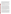CARE is designed to deliver voluntary programs to communities. Voluntary programs include a wide series of programs and actions that are based on people taking action not required by statute or regulation. There are two major categories of voluntary programs. In the first one, participants specifically sign up for a program, and must meet certain criteria to be considered members. The motivation for participation is usually based on a combination of a desire for improved environmental performance, economic savings or improved performance and/or recognition. Examples include EPA's Waste-wise, Best Workplaces for Commuters, and Performance Track programs. The second category of voluntary programs are generally based on providing information to participants who then implement these programs to reduce health risks to themselves or others. Examples include EPA's radon, integrated pest management, and Make a Difference Campaign programs.

Organizations sharing the CARE goals and willing to implement the CARE strategies to achieve those goals are invited to apply for funding from the CARE program. In addition to funding, EPA and other governments and organizations will build community capacity to reach CARE goals by providing information, training, technical support, help with building collaborative partnerships, and access to voluntary programs to address community concerns.

CARE funding will be provided to applicants through two different types of Cooperative Agreements, Level I and Level II. In the smaller Level I cooperative agreements, funding is provided to assist grantee efforts to create or develop a collaborative partnership dedicated to understanding and reducing toxic risks and impacts in their community. Partnerships should be as inclusive as possible including community residents, representatives of community organizations, small and large businesses, state, tribal, local government agencies, EPA and other federal agencies, colleges and universities, and other organizations and individuals as appropriate. These partnerships, with technical support from EPA, states, and other partners, will work to identify all sources of toxic risk in the community and set community priorities for risk reduction. While Level I grants are designed to identify risk and set priorities, community partnerships are encouraged to begin risk reduction actions to address obvious priorities as a part of the Level I activity. The goal of the Level I cooperative agreements is to ensure, at completion, that the community has developed an understanding of the toxic risks facing the community, set priorities for risk reduction activities, and developed an effective collaborative problem solving partnership that is prepared to identify actions to address the priority risks and mobilize the community and its partners to reduce those risks.

The larger Level II cooperative agreements are designed for communities that have established a broad-based collaborative problem solving partnership focused on understanding and reducing toxic risks, have developed an understanding of the toxic risks facing their community, and set community priorities for risk reduction. Level II grants will be used to identify and implement risk reduction actions to address community priorities. Risks will be addressed through the selection and implementation of voluntary programs. In addition to risk reduction, EPA will work with Community Stakeholder Groups to help leverage other resources and become selfsustaining, so they can continue to reduce toxic risks and build healthier communities after the completion of the Level II cooperative agreement. Through CARE, EPA and other partners will work with the stakeholder group to provide training and to find new ways to attract new resources and partners to support further risk reduction activities (although it must be noted that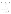funds from these grants can not be used to pay for filling out grant applications or other fund raising activities).

In order to apply for a Level II cooperative agreements the applicant must be leading or representing an existing collaborative partnership that represents the various constituencies (e.g. citizens, businesses, government) in the community. This group must have developed a comprehensive understanding of all sources of risk from toxics, set community priorities for risk reduction, and be prepared to quickly select, and implement projects that will reduce risk in the community. The prior award of a Level I Cooperative Agreement is not necessary to apply for a Level II Cooperative Agreement.

These grants will be awarded under EPA's research and demonstration authorities: **Clean Water Act,** Section 104(b) (3); **Safe Drinking Water Act,** Section 1442(c)(3)(A); **Solid Waste Disposal Act,** Section 8001(a); **Clean Air Act,** Section 103(b) (3); **Toxic Substances Control Act,** Section 10(a); **Federal Insecticide, Fungicide, and Rodenticide Act,** Section 20(a); and **Marine Protection, Research, and Sanctuaries Act,** Section 203.

Applicants must be aware that there are certain statutory restrictions related to EPA's annual Appropriation Acts**.** Therefore, EPA funds for awards under this solicitation cannot be used for projects within the scope of activities covered by other appropriation accounts within the EPA Appropriation Act. For example, CARE grants cannot be used to retrofit school buses, for Brownfields activities funded by the Agency's STAG account (training, research, and technical assistance to individuals and organizations to facilitate the inventory of brownfield sites, site assessments, remediation of brownfield sites, community involvement, or site preparation), or for response actions and other associated activities (including Technical Assistance Grants) under the Comprehensive Environmental Response, Compensation, and Liability Act, as amended (CERCLA).

The CARE Cooperative Agreements are designed to investigate and, hopefully, demonstrate the long term value of the CARE program. Specifically, EPA has developed the CARE program as a new approach to address the problem of cumulative risk in communities. While CARE builds on the efforts of previous community based programs, CARE does offer a new approach. The CARE approach is different in that it combines all of the following factors (each of which may not be unique to CARE but the combination of approaches and tools is unique):

- CARE is a multimedia program that takes a comprehensive view of toxics in a community not limited to a single media (air, water, land) or source.
- CARE is based on empowering communities to set their own priorities for risk reduction and select the voluntary program that best fits their needs.
- CARE will create a network that includes all the recipients of CARE grants. This network will allow communities to learn from and support each other.
- CARE combines in a single program grants that allow communities to get organized and examine toxic risks with grants that provide funding to take action to the priority toxics risks.
- CARE uses collaborative stakeholder processes to bring the various sectors of the community together to jointly use voluntary actions to solve problems.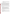- CARE mobilizes a network of EPA staff from across programs and regions to provide support, training and tools to support communities and the EPA staff working with them.
- CARE establishes an effective mechanism to deliver voluntary programs to the communities that need and want them.

In order to demonstrate the effectiveness of CARE, EPA will compare the results of the communities that receive CARE grants with the environmental and other outcomes from other communities which do not receive CARE grants. The communities selected will be those who are involved in two different kinds of existing programs that combined form a baseline of existing EPA community programs. The first set are communities that have received grants to create stakeholder groups to analyze toxic issues or develop monitoring programs for communities but are not provided EPA funds to implement programs to reduce toxics. The second set of communities are those who receive EPA grants to implement single media programs but do not look at the broad range of toxics in a community. EPA will select the new communities for each year of the CARE demonstration grants and follow the results those communities achieve over time. Their results will be compared with CARE communities.

To investigate the effectiveness of the CARE program, the results of communities that get CARE grants will be compared to communities that do not receive CARE grants. A number of factors will be used which will include:

- Environmental results: toxics reductions in the environment; improved environmental conditions; reduced exposures to toxics or other direct environmental impacts
- S Environmental education: the extent to which the community has been provided information about environmental issues and possible solutions
- Ability of the community to form an collaborative stakeholder group focused on environmental issues, the ability of that group to function successfully and reach consensus and the ability of the stakeholder group to become self-sustaining
- Resources leveraged by the community the extent that individuals or organizations other than the initial program (CARE or baseline program) have invested in the improved environmental health of the community.

In addition, a periodic evaluation of more subjective measures of success will be performed. These measures include items such as:

- Did organizations improve delivery of environmental services as appropriate to better meet the needs of CARE communities?
- Does the community believe that they have achieved real risk reduction through CARE?
- Did the communities achieve improved human health, economic activity, community pride, perceptions about community quality of life, enhanced social capital, etc. through their priority actions?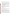The following are examples of the kinds of activities that are appropriate for both Level I and Level II grants:

- 1. activities to convene, facilitate and provide information to the community stakeholder group.
- 2. activities to investigate toxic problems in the community and prepare materials to educate the stakeholder group and the community on the results of those investigations.
- 3. analysis of the toxics problems in the community, their relative risks and potential solutions
- 4. activities to reduce risks including identifying and choosing options for risk reduction and mobilizing local resources to implement new or existing voluntary programs, such as IAQ Tools for Schools, Adopt Your Watershed, Design for the Environment, and the Pesticide Environmental Stewardship Program.
- 5. providing information to the stakeholder group, community or the general public about any of the above activities and their results.
- 6. activities to evaluate and track progress, measure results, and communicate lessons learned with other communities.

The relative mix of these activities will change between the two types of grants. Level I grantees may or may not implement programs to reduce risk. Level II grantees will be focused on program implementation and may or may not spend time and money on further refining their analysis of risks in the community. Additional information on the CARE program may be accessed at: [www.epa.gov/CARE](http://www.epa.gov/CARE)

# **II. Award Information**

# **A**. **What is the amount of funding available?**

The total estimated amount of funding available under this solicitation for FY 2005 is \$1.65 million. Cooperative agreements resulting from this announcement will be funded incrementally over a two year period.

# B. **How many agreements will EPA award in this competition?**

The EPA anticipates awards of six (6) Level I cooperative agreements ranging in value from \$60,000 to \$90,000 and four (4) Level II cooperative agreements ranging in value from \$150,000 to \$325,000. EPA reserves the right to increase or decrease (including to zero) the total number of awards or, change the ratio of Level I to Level II cooperative agreements it awards. Such change may be necessary as a response to the quality of applications EPA receives, the size of the awards to the selected applicants, or for other reasons.

Cooperative agreements permit substantial involvement between the EPA Project Officer and the selected applicants in the performance of the work supported. EPA sees its role as providing training, tools, technical assistance and other support. EPA will not be making decisions for the community. Although EPA will negotiate precise terms and conditions relating to substantial involvement as part of the award process, the anticipated substantial Federal involvement for this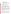project may include:

- close monitoring of the recipient's performance
- collaboration during the performance of the scope of work;
- approving substantive terms of proposed contracts;
- approving qualifications of key personnel (EPA will not select employees or contractors employed by the recipient);
- review and comment on content of publications (printed or electronic) prepared under the cooperative agreement (the final decision on the content of reports rests with the recipient);

### **C. What is the project period for award(s) resulting from this solicitation?**

CARE cooperative agreements last for two years. The estimated project period for awards resulting from this solicitation is September, 2005 through October, 2007.

### **D. Can funding be used to acquire services or fund partnerships?**

Funding may be used to acquire services or fund partnerships, provided the recipient follows procurement and subaward or subgrant procedures contained in 4[0 CFR P](http://www.gpoaccess.gov/cfr/retrieve.html)arts 30 or 31, as applicable. Successful applicants must compete contracts for services and products and conduct cost and price analyses to the extent required by these regulations. The regulations also contain limitations on consultant compensation. Applicants are not required to identify contractors or consultants in their proposal. Moreover, the fact that a successful applicant has named a specific contractor or consultant in the proposal EPA approves does not relieve it of its obligations to comply with competitive procurement requirements.

Subgrants or subawards may be used to fund partnerships with non profit organizations and nonfederal governmental entities. Successful applicants cannot use subgrants or subawards to avoid requirements in EPA grant regulations for competitive procurement by using these instruments to acquire commercial services or products to carry out its cooperative agreement. The nature of the transaction between the recipient and the subgrantee must be consistent with the standards for distinguishing between vendor transactions and subrecipient assistance under Subpart B Section 210 o[f OMB Circular A-133,](http://www.whitehouse.gov/omb/circulars/a133/a133.html) and the definitions of "subaward" at 40 CFR 30.2(ff) or "subgrant" at 40 CFR 31.3, as applicable. EPA will not be a party to these transactions.

## **III. Eligibility Information**

### **A. Eligible Entities**

Proposals will be accepted from local and tribal governmental agencies, universities, or nonprofit organizations, as defined b[y OMB Circular A-122.](http://www.whitehouse.gov/omb/circulars/a122/a122.html) EPA is not including State agencies because EPA is working through the Environmental Commissioners of the States (ECOS) to develop a partnership with states to implement the CARE program. This partnership will be used to facilitate coordination and improve assistance to communities. Non-profit organization, as defined by OMB Circular A-122, means any corporation, trust, association, cooperative, or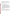other organization which: (1) is operated primarily for scientific, educational, service, charitable, or similar purposes in the public interest; (2) is not organized primarily for profit; and (3) uses its net proceeds to maintain, improve, and/or expand its operations. For this purpose, the term "non-profit organization" excludes (i) colleges and universities; (ii) hospitals; (iii) state, local, and federally-recognized Indian tribal governments; and (iv) those non-profit organizations which are excluded from coverage of the Circular in accordance with paragraph 5 of the Circular.

### **B. Threshold Eligibility Factors**

- EPA will consider only one application per organization for any given project. However, an organization can be a partner in more than one CARE project.
- LEVEL II Cooperative Agreements -- applications/proposals for Level II agreements that do not meet the following criteria will not be considered further:

**There must be an existing and functioning broad based stakeholder group that has completed work to identify community toxic priorities:** In order to be eligible for a Level II cooperative agreement, the applicant must be leading or representing an existing collaborative partnership that represents the various constituencies in the community: citizens, businesses, government (additional appropriate partners can also be part of the partnership). The partnership must have completed a detailed examination of toxics in the community which includes more than one environmental media, come to consensus on the specific community priorities for risk reduction, and be prepared to choose a risk reduction to address community priorities and mobilize the community and its partners to implement this plan. To substantiate the group and it's accomplishments please submit information with regard to the Stakeholder Group including membership, meeting notes and any reports or work products produced.

### **C. Cost-Sharing or Matching.**

A specific level of cost sharing or matching is not required as a condition of eligibility, or otherwise, for proposals selected for award. However, for Level II agreements, the ability to leverage additional resources, technical or financial, from other applicants or partners will be evaluated (See Section V). Applicants plans to leverage funds can not include the use of grants funds on fund raising activities (see: OMB Circular A-122 cost item #19 for non-profits, OMB Circular A-87 cost item #21 for local and tribal governments, OMB Circular A-21 cost item #22 for universities.)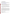### **IV. Application and Submission Information**

### **A. How to Obtain Application Package.**

Applicants may download individual grant application forms, or electronically request a paper application package and an accompanying computer CD of information related to applicants/grant recipients roles and responsibilities, from EPA's Grants and Debarment website by visiting[: http://www.epa.gov/ogd/grants/how\\_to\\_apply.htm.](http://www.epa.gov/ogd/grants/how_to_apply.htm) 

### **B. Content and Form of Application Submission.**

1. **Proposals**. Applicants must submit one original signature initial proposal and two complete copies. Proposals must not exceed 10 pages in length and should conform to the following outline (while the proposal cannot exceed 10 pages in length, the specific page recommendations identified below for each section of the proposal are suggestions only):

a. Overview of the organization, its mission, and related experience (up to 1 page);

b. Narrative Work Plan. The narrative work plan must summarize the project and explicitly describe how the proposed project meets the guidelines established in *Section I(B), Scope of Work,* and also specifically address each of the evaluation criteria disclosed in *Section V(A), Evaluation Criteria* with the response to each criteria clearly marked (up to 6 or 7 pages);

c. Brief biographical sketches of key technical experts who will be involved in the project (up to 1 page);

d. Detailed budget narrative (up to 2 pages);

Applicants are strongly advised to avoid submission of extraneous materials. All material that exceeds the maximum page limitation for the proposal described above will not be considered. The maximum page length does not include any pieces documenting third party commitments (e.g. references or letters confirming commitments) or substantiating material (membership lists, meeting notes, reports, etc.) submitted as requested under Section III. B(Threshold Eligibility Factors). All application materials must be completed in English. Proposals not in English will not be considered. The minimum acceptable font size for application materials shall be 10 point; material in smaller font sizes will not be considered.

To aid applicants, we are providing additional information relating to the type of information that should be included in the narrative workplan to address each of the evaluation criteria in Section  $V(A)$ :

## **Evaluation Criteria for Level I Agreements**

## **1. Extent of environmental risks and impacts:**

## The Narrative Should:

Describe the environmental problems that cause the applicant to seek a Level I CARE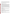cooperative agreement. Using available information, describe the nature of pollution in your community and identify any health and/or environmental impacts that may be related to toxics.

Level I cooperative agreements are designed to help communities assess and prioritize risks, so communities will not be expected to present a detailed analysis of community risks and impacts at this stage. Available information and community knowledge can be used to present a preliminary picture of community risk and impacts.

#### **2. Community Involvement/Collaboration/Partnerships:**

#### The Narrative Should:

describe the specific tasks that will be undertaken to bring the community together for the purpose of collaboratively identifying and reducing exposure to toxics in the community. The narrative should explicitly describe what groups the applicant will work with and why that group is sufficiently inclusive of all major interests in the community to be credible and successful. List all groups that have agreed to work with you on this project and their reason for inclusion. Indicate if you have ever worked with any of these groups in the past, and if so, when and what were the results. The processes through which the organizations will work together and communicate, and the roles the different organizations will play, should be spelled out. For any organization listed you must include a contact name with a phone number or EPA will not consider that organization to be part of the partnership. Please include letters of commitment from your partners wherever possible. (The discussion of the organizations you will work with will count against your page total - the letter of commitment will not). EPA reserves the right to contact organizations to verify their involvement. Explain your plans for facilitating stakeholder meetings and your plans and/or process for bringing the diverse group of stakeholders together to achieve consensus.

#### **3. Alignment with CARE Strategies**:

#### The Narrative Should:

discuss the connection between the 5 specific CARE strategies listed in the criterion, the problems the CARE project grant is intended to address, the approach the applicant plans to use, and how the proposed work aligns with the five strategies. We recommend, but do not require, a separate short write-up for each strategy.

#### **4. Project Goals and Implementation Plan:**

#### The Narrative Should:

specifically identify project goals and outputs, and describe how the project work planned will directly address the community's needs. The workplan should enumerate measurable goals, tasks, and milestones (i.e., dates by which tasks will be carried out and outputs will be produced). Identify what persons or organizations will have lead responsibility for tasks and milestones.

#### **5. Tracking and Measuring Environmental Results:**

#### The Narrative Should:

describe the applicant's plan for tracking environmental results including outputs (what is done) and outcomes (the results of the action). Also identify indicators or measures the applicant will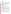## **6. Organizational Capacity:**

#### The Narrative Should:

describe other projects that have been successfully managed, or organizational features and controls that will help ensure the project can be effectively managed and successfully completed. The applicant must describe and provide substantiation of its ability to manage a project such as the one proposed. Please also describe the system(s) that will be used to appropriately manage, expend, and account for Federal funds. If the applicant is, or has been, a recipient of an EPA grant/cooperative agreement in the last 5 years the applicant must provide information regarding compliance reporting measures, and annual financial status reporting.

### **Evaluation Criteria for Level II Agreements**

### **1. Extent of environmental risks and impacts:**

### The Narrative Should:

include information from the stakeholder group's investigation of the risks in the community. Specifically identify the extent of the environmental/toxic problems in the community. Describe the need for the proposed project, how severe are the problems, and what are the associated potential health impacts.

### **2. Success of Broad-Based Stakeholder Group**:

### The Narrative Should:

Describe community priorities for risk reduction and describe the process through which community priorities were identified. Please include specific information on how all sectors of the community, especially community residents, were involved in the process. Describe information collected and methods for collecting information. Describe how information on toxics risk was analyzed to identify priorities. Describe how consensus in the Partnership and community was built on community priorities. How effective has the stakeholder group been in examining the toxics problem in the community? How broad-based is the stakeholder group, does it represent all relevant constituencies in the community? Please also describe how will community members and stakeholder groups have participated and will participate in the planning, implementation, and evaluation of the Level II work proposed for Cooperative Agreement funding.

## **3. Ability to Leverage New Resources and Sustain Community Efforts to Understand and Improve the Environment**:

## The Narrative Should:

describe funds or other resources that have been committed, will be committed and/or have been sought to support the goals for this project (in addition to the EPA CARE proposal). Please indicate if you are currently or plan to solicit funding from any other EPA source(s) for work related to this proposal. Please include letters of commitment from your partners wherever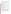possible. Communities that can provide a plan for leveraging local and national funding resources to address community priorities and can describe how Level II CARE funds will be used as a part of this broader plan will be especially welcome. Also please describe how the applicant will develop a partnership and community infrastructure so that stakeholder group (or its successor) can continue the community-based environmental and health protection work in the future.

#### **4. Alignment with CARE Strategies:**

#### The Narrative Should:

discuss the connection between the 3 strategies listed in the criterion, the problems the CARE project is intended to address, the approach the applicant plans to use, and how the proposed work aligns with the three strategies. We recommend, but do not require, a separate short writeup for each strategy.

### **5. Project Goals and Implementation Plan:**

### The Narrative Should:

specifically identify project goals and outputs, and describe how the project work planned will directly address the community's needs. The workplan should enumerate measurable goals, tasks, and milestones. Identify what persons or organizations will have lead responsibility for tasks and milestones.

### **6. Tracking and Measuring Environmental Results:**

#### The Narrative Should:

describe the applicant's plan for tracking environmental results including outputs (what is done) and outcomes (the results of the action). Also identify indicators or measures the applicant will use to determine at the conclusion of the project if goals were achieved and if the project is a success.

### **7. Organizational Capacity:**

### The Narrative Should:

describe other projects that have been successfully managed, or organizational features and controls that will help ensure the project can be effectively managed and successfully completed. The applicant must describe and provide substantiation of its ability to manage a project such as the one proposed. Please also describe the system(s) that will be used to appropriately manage, expend, and account for Federal funds. If the applicant is, or has been, a recipient of an EPA grant/cooperative agreement in the last 5 years the applicant must provide information regarding compliance reporting measures, and annual financial status reporting.

### 2. **Final Applications**. FINAL APPLICATIONS WILL BE REQUESTED ONLY FROM THOSE ELIGIBLE ENTITIES WHOSE INITIAL PROPOSALS HAVE BEEN TENTATIVELY SELECTED FOR AWARD.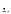#### **C. Submission Dates and Times.**

- 1. The closing date and time for submission of initial proposal packages is May 20, 2005, 4p.m. EST. All proposal packages must be either post marked by the closing date or received in the office listed below by the closing date and time in order to be considered for funding. Proposals received after the closing date and time will not be considered for funding. Electronic or facsimile transmission of initial proposals/final applications will not be accepted.
- 2. The closing date and time for submission of completed final application packages will be determined at a later date and will be accepted only from those eligible entities whose initial proposals have been tentatively selected for award. Instructions for final application packages will be provided at a later point in time.
- 3. Because of the unique situation involving U.S. mail screening in Washington, D.C., EPA highly recommends that applicants use express mail to submit their proposals. Initial proposals/applications must be addressed to:

### Express Delivery Address (FedEx, UPS, DHL, etc.)

US EPA Attn: CARE Program Mail Code 8001A 1200 Pennsylvania Avenue, NW Washington, DC 20460 Phone: 202-564-7400

Regular Mail Delivery Address (U.S. Postal Service)

U. S. Environmental Protection Agency Attn: CARE Program Mail Code 8001A 1200 Pennsylvania Avenue, NW Washington, DC 20460

### **V. Application Review Information**

### A. **Evaluation Criteria**.

Each eligible proposal will be evaluated according to the criteria set forth below. Applicants must clearly state whether they are applying for a Level I or Level II agreement. Each proposal will be rated under a points system, with a total of 100 points possible.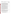**For the award of Level I cooperative agreements, the applicants will be evaluated on the following criteria:**

| <b>LEVEL I CRITERIA</b>                                                                                                                                                                                                                                                                                                                                                                                                                                                                                                                                                                                                                                                                                                                                                                                                                                                                                                                                                                                                                                                             | <b>Maximum</b><br>Points per<br>criterion |
|-------------------------------------------------------------------------------------------------------------------------------------------------------------------------------------------------------------------------------------------------------------------------------------------------------------------------------------------------------------------------------------------------------------------------------------------------------------------------------------------------------------------------------------------------------------------------------------------------------------------------------------------------------------------------------------------------------------------------------------------------------------------------------------------------------------------------------------------------------------------------------------------------------------------------------------------------------------------------------------------------------------------------------------------------------------------------------------|-------------------------------------------|
| 1. Extent of environmental risks and impacts: The extent to which the<br>community is impacted by toxic pollution in various environmental media<br>(air, water, land, indoor environments, etc.), including significant community<br>exposures to toxics from multiple sources and/or multiple stresses to the local<br>environment, and/or the extent to which there are multiple stresses on<br>economically disadvantaged communities and/or vulnerable communities and<br>populations. CARE grants are designed to help communities understand and<br>address risks due to multiple sources of toxics from all media so more points<br>will be given to communities able to describe multiple concerns. Information<br>that is specific to your community (e.g. we have these sources of toxic<br>emissions: a, b, c) will be given more weight than information that is very<br>general (e.g. all urban area have air pollution)                                                                                                                                              | 10                                        |
| 2. Community Involvement/Collaboration/Partnerships: Collaborative<br>partnerships are the key for action in a CARE project. The applicant will be<br>evaluated based on the extent to which they have organized or will be able<br>to organize an effective collaborative partnership of all the various<br>stakeholders in and supporting the community (e.g., citizens, businesses,<br>governments, academic institutions, nonprofit organizations) and any other<br>appropriate partners. The partnership must include all parties necessary to<br>identify sources of toxics, set priorities, and mobilize the community and its<br>partners to take actions to reduce risks. Applications with letters of<br>commitment will be scored higher than applications which do not have them.<br>Additional credit will be given to applications with letters of commitment<br>from multiple stakeholders representing different types of interests, i.e.<br>community, business, government, etc (EPA reserves the right to contact<br>organizations to verify their involvement.) | 20                                        |
| 3. Alignment with CARE Strategies: In the Scope of Work section (I.C) of<br>this solicitation, the CARE program has identified six strategies to achieve its<br>goals. The applicant will be evaluated based on how the work proposed for<br>the Level I cooperative agreement aligns with the following five CARE<br>strategies. (Response to Criterion 2 above will suffice for the discussion of<br>the alignment with the second CARE strategy so only the remaining five<br>strategies will be scored here; each will be worth 5 points.)<br>Empower communities to address toxics issues at the local level<br>Examine and understand toxic risks from multiple sources in the<br>community and set priorities for effective action                                                                                                                                                                                                                                                                                                                                           | 25                                        |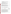|                        | Focus on using voluntary pro<br>and reduce risks<br>Mobilize local resources and<br>understand and address enviro                                                                                                                                 |
|------------------------|---------------------------------------------------------------------------------------------------------------------------------------------------------------------------------------------------------------------------------------------------|
|                        | 4. Project Goals and Implementati<br>project has a well-thought-out impler<br>the CARE project. A plan is critical<br>documents what specific work will b<br>funds will be spent.                                                                 |
|                        | <b>5. Tracking and Measuring Enviro</b><br>applicant's plan for tracking and mea<br>expected outputs and outcomes ident                                                                                                                           |
| <b>ARCHIVE DOCUMEN</b> | <b>6. Organizational Capacity:</b> The a<br>demonstrated ability to effectively m<br>the ability to successfully manage fee<br>successfully.                                                                                                      |
|                        | <b>LEVEL I</b>                                                                                                                                                                                                                                    |
|                        | For the award of Level II cooperativ<br>the following criteria:                                                                                                                                                                                   |
|                        | <b>Evalua</b>                                                                                                                                                                                                                                     |
|                        | 1. Extent of environmental risks are<br>community is impacted by toxic poll<br>water, land, indoor environments, etc<br>exposures to toxics from multiple sou<br>environment, and/or the extent to wh<br>at control at our decouples of a species |

 $\mathsf{I}$ 

| Focus on action; use information and analysis to build consensus and<br>help target greatest risks<br>Focus on using voluntary programs and approaches to find solutions<br>and reduce risks<br>Mobilize local resources and build long term community capacity to<br>understand and address environmental risks                   |           |
|------------------------------------------------------------------------------------------------------------------------------------------------------------------------------------------------------------------------------------------------------------------------------------------------------------------------------------|-----------|
| <b>4. Project Goals and Implementation Plan:</b> The extent to which the<br>project has a well-thought-out implementation plan to achieve the goals of<br>the CARE project. A plan is critical to the success of a project, and<br>documents what specific work will be done and how cooperative agreement<br>funds will be spent. | 15        |
| <b>5. Tracking and Measuring Environmental Results: Effectiveness of</b><br>applicant's plan for tracking and measuring progress toward achieving<br>expected outputs and outcomes identified in Section 1 of the announcement.                                                                                                    | <b>10</b> |
| <b>6. Organizational Capacity:</b> The applicant will be evaluated based on its<br>demonstrated ability to effectively manage the proposed project (including<br>the ability to successfully manage federal funds) to ensure that it is performed<br>successfully.                                                                 | 20        |

# **LEVALUATION CRITERIA**

**For the award of Level II cooperative agreements, applicants will be evaluated based on** 

| <b>Evaluation Criteria</b>                                                                                                                                                                                                                                                                                                                                                                                                                                                                                                                                                                                                                                                                                                                                                                                                                                                                                                                    | <b>Maximum</b><br>Points per<br>criterion |
|-----------------------------------------------------------------------------------------------------------------------------------------------------------------------------------------------------------------------------------------------------------------------------------------------------------------------------------------------------------------------------------------------------------------------------------------------------------------------------------------------------------------------------------------------------------------------------------------------------------------------------------------------------------------------------------------------------------------------------------------------------------------------------------------------------------------------------------------------------------------------------------------------------------------------------------------------|-------------------------------------------|
| <b>1. Extent of environmental risks and impacts:</b> The extent to which the<br>community is impacted by toxic pollution in various environmental media (air,<br>water, land, indoor environments, etc.), including significant community<br>exposures to toxics from multiple sources and/or multiple stresses to the local<br>environment, and/or the extent to which there are multiple stresses on<br>economically disadvantaged communities and/or vulnerable communities and<br>populations. CARE grants are designed to help communities understand and<br>address risks due to multiple sources of toxics from all media so more points<br>will be given to communities able to describe multiple concerns. Information<br>that is specific to your community (e.g. we have these sources of toxic<br>emissions: a, b, c) will be given more weight than information that is very<br>general (e.g. all urban area have air pollution) | 10                                        |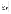| 2. Success of Broad-Based Stakeholder Group: In order to be eligible for a<br>Level II cooperative agreement, the applicant must be leading or representing an<br>existing collaborative partnership that represents the various constituencies in<br>the community: citizens, businesses, government (additional appropriate<br>partners can also be part of the partnership). The partnership must have<br>completed a detailed examination of toxics in the community which includes<br>more than one environmental media, come to consensus on the specific<br>community priorities for risk reduction, and be prepared to choose a risk<br>reduction to address community priorities and mobilize the community and its<br>partners to implement this plan. Under this criteria, applicants will be evaluated<br>based on the inclusiveness, effectiveness and overall success of the collaborative<br>partnership. Inclusiveness looks at how broad based the partnership is and<br>whether the participants represent the various interests in the community.<br>Effectiveness looks at breath and reasonableness of the examination of toxics in<br>the community. Success looks at the ability of the partnership to reach<br>consensus on priority risks and the readiness of the group choose risk reduction<br>priorities and implement them. | 20 |
|-----------------------------------------------------------------------------------------------------------------------------------------------------------------------------------------------------------------------------------------------------------------------------------------------------------------------------------------------------------------------------------------------------------------------------------------------------------------------------------------------------------------------------------------------------------------------------------------------------------------------------------------------------------------------------------------------------------------------------------------------------------------------------------------------------------------------------------------------------------------------------------------------------------------------------------------------------------------------------------------------------------------------------------------------------------------------------------------------------------------------------------------------------------------------------------------------------------------------------------------------------------------------------------------------------------------------------------------------------------|----|
| 3. Ability to Leverage New Resources and Sustain Community Efforts to<br>Understand and Improve the Environment: The extent to which the<br>Community Partnership can demonstrate its ability to use the work and results<br>of the CARE program to leverage other resources, including technical<br>assistance, and volunteers, to expand and sustain its efforts to understand and<br>improve the local environment. CARE cooperative agreements can help to<br>address community concerns and improve the local environment but they will<br>not be sufficient to address the long term needs of the community. The ability<br>to use CARE funding and the CARE program to leverage resources and build a<br>sustainable community effort to understand and improve its environment will be<br>key to creating healthy communities and environments. [Again please note that<br>EPA funds can not be used for fund raising including paying for the production<br>of grant applications.]                                                                                                                                                                                                                                                                                                                                                              | 15 |
| <b>4. Alignment with CARE Strategies:</b> In the Scope of Work section (I.C) of<br>this solicitation,, the CARE program has identified six strategies to achieve its<br>goals. The applicant will be evaluated based on how the work proposed for the<br>Level II cooperative agreement aligns with the following three CARE<br>strategies. (Responses to Criteria 2 and 3 above will suffice for the discussion<br>of the alignment with the second, third, and sixth CARE strategies so only the<br>remaining three strategies will be evaluated here; each is worth 5 points))<br>Empower communities to address toxics issues at the local level<br>Focus on action: use information and analysis to build consensus and                                                                                                                                                                                                                                                                                                                                                                                                                                                                                                                                                                                                                              | 15 |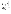| help target greatest risks<br>Focus on using voluntary programs and approaches to find solutions and<br>reduce risks                                                                                                                                                                                                            |    |
|---------------------------------------------------------------------------------------------------------------------------------------------------------------------------------------------------------------------------------------------------------------------------------------------------------------------------------|----|
| <b>5. Project Goals and Implementation Plan:</b> The extent to which the project<br>has a well-thought-out implementation plan to achieve the goals of the CARE<br>project. A plan is critical to the success of a project, and documents what<br>specific work will be done and how cooperative agreement funds will be spent. | 10 |
| <b>6 Tracking and Measuring Environmental Results:</b> Effectiveness of<br>applicant's plan for tracking and measuring progress toward achieving expected<br>outputs and outcomes identified in Section 1 of the announcement.                                                                                                  | 10 |
| <b>Organizational Capacity:</b> The applicant will be evaluated based on its<br>7<br>demonstrated ability to effectively manage the proposed project (including the<br>ability to successfully manage federal funds) to ensure that it is performed<br>successfully.                                                            | 20 |

## **B. Other Selection Factors:**

In addition to exploring the effectiveness of the CARE program, EPA is also trying to investigate whether CARE is more or less successful in specific situations or with specific types of grantees. Accordingly, in addition to the evaluation of proposals against the ranking criteria described above in V(A) above, the following factors will be considered by the Selection Committee (described below) in making award selection decisions for all cooperative agreements:

- $\sim$  geographic balance among the EPA Regions,
- $\sim$  a good balance of Level I and Level II grants,
- the diverse nature of the projects (major environmental concerns),
- $-$  type of community (rural, urban, etc.),
- type of grantee (community group, local government agency, university),
- $-$  the projected use of the funds,
- projects whose environment and/or public health benefits can be sustained after the cooperative agreement is completed, and,
- projects that are consistent with the priorities established in the Regional Strategic Plans Regional strategic plans can be found at: [www.epa.gov/ocfo/regionplans/regionalplans2.htm.](http://www.epa.gov/ocfo/regionplans/regionalplans2.htm)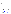### **C. Review and Selection Process.**

The proposals will initially be divided by EPA Region. All Level I and II applications will first be evaluated by an Evaluation Team in each EPA Regional Office to see if they meet the Threshold Criteria identified in Section III. Those that do not will not be scored or considered further. The Evaluation Team in each EPA regional office will then evaluate the proposals from their region based on the ranking criteria described in Section V(A). The two highest ranked Level I and Level II applications from each of the ten regional offices will then be forwarded to the Selection Committee (described below) (i.e. four applications will be forwarded from each region.)

As described above, the highest ranked applications from each region based on the evaluation of the applications against the Section V(A) criteria will be referred to the Selection Committee for further review. The Selection Committee will consider and review the applications against the "other factors" identified in Section V(B). The Selection Committee will consist of staff from a cross section of EPA Programs and Regions and may include staff from State environmental departments. Final award selection recommendations will be made by the Selection Committee from among the highest ranked proposals based on the Selection Committee's review of the highest ranked applications against the "other factors" specified in Section  $V(B)$ .

### **VI. Award Administration Information**

### **A. Award Notices.**

Following final selections, all applicants will be notified regarding their application's status.

- 1. EPA anticipates notification to *successful* applicant(s) will be made via telephone, electronic or postal mail by June 17, 2005. This notification, which advises that the applicant's proposal has been selected and is being recommended for award, is not an authorization to begin performance. The award notice signed by the EPA grants officer is the authorizing document and will be provided through postal mail. At a minimum, this process can take up to 90 days from the date of selection.
- 2. EPA anticipates notification to *unsuccessful* applicant(s) will be made via electronic or postal mail by June 24, 2005. In either event, the notification will be sent to the original signer of the application.

## **B. Administrative and National Policy Requirements.**

- 1. A listing and description of general EPA Regulations applicable to the award of assistance agreements may be viewed at: [http://www.epa.gov/ogd/AppKit/applicable\\_epa\\_regulations\\_and\\_description.htm.](http://www.epa.gov/ogd/AppKit/applicable_epa_regulations_and_description.htm)
- 2. Executive Order 12372, Intergovernmental Review of Federal Programs may be applicable to awards, resulting from this announcement. Applicants *selected* for funding may be required to provide a copy of their proposal to thei[r State Point of Contact](http://www.whitehouse.gov/omb/grants/spoc.html)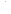(SPOC) for review, pursuant to Executive Order 12372, Intergovernmental Review of Federal Programs. This review is not required with the Initial Proposal and not all states require such a review.

- 3. All applicants are required to provide a Dun and Bradstreet (D&B) Data Universal Numbering System (DUNS) number when applying for a Federal grant or cooperative agreement. Applicants can receive a DUNS number, at no cost, by calling the dedicated toll-free DUNS Number request line at 1-866-705-5711, or visiting the D&B website at: [http://www.dnb.com.](http://www.dnb.com/)
- 4. Assistance agreement competition-related disputes will be resolved in accordance with the dispute resolution procedures published in 70 FR (Federal Register) 3629, 3630 (January 26, 2005) which can be found at [http://a257.g.akamaitech.net/7/257/2422/01jan20051800/edocket.access.gpo.gov/2005/05](http://a257.g.akamaitech.net/7/257/2422/01jan20051800/edocket.access.gpo.gov/2005/05-1371.htm) [-1371.htm.](http://a257.g.akamaitech.net/7/257/2422/01jan20051800/edocket.access.gpo.gov/2005/05-1371.htm) Copies of these procedures may also be requested by sending a written request to:

Larry Weinstock USEPA Attn: CARE Program Mail Code 8001A 1200 Pennsylvania Avenue, NW Washington, DC 20460

### **C. Reporting Requirement.**

After award and during administration of the resulting cooperative agreements, the EPA Project Officer(s) expects to hold monthly telephone conference calls with all successful applicants. A template will be furnished on those items to be discussed.

Quarterly progress reports will be required. The quarterly progress report should include: a summary of performance progress-to-date, detailed expenditures-to-date, problems encountered, successes achieved, and lessons learned. EPA will track these information as it collects information on the success of the CARE program. The schedule for submission of quarterly progress reports and any specific required information required in the reports will be established, by EPA, after award.

As part of EPA's efforts to evaluate the long term effectiveness of the CARE program, EPA or its contractors or future grantees may attempt to follow-up with community stakeholders groups involved in the CARE program from time to time ask a series of questions from the applicant regarding the accomplishments of the community after the end of the cooperative agreement. Such questions would be of a general nature such as to additional funding received and programs implemented. EPA hopes that the applicant will be willing to provide such information when requested.